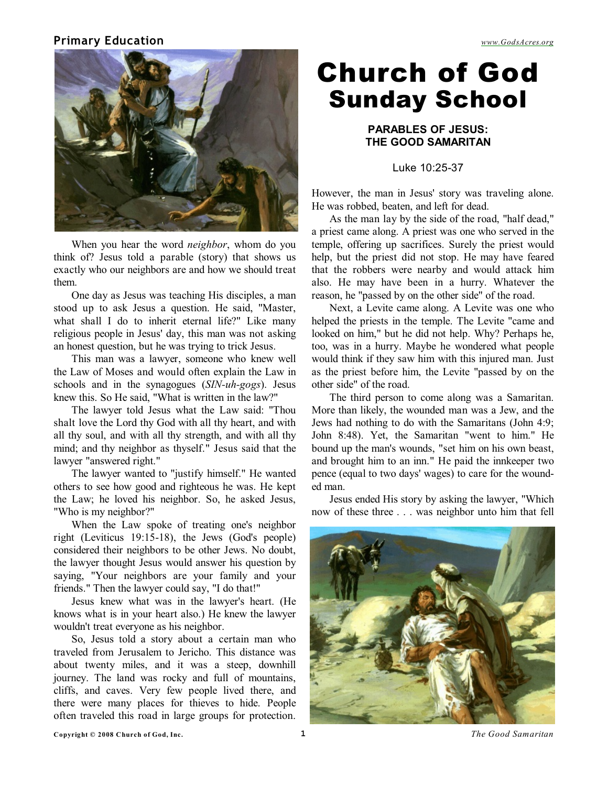#### **Primary Education** *[www.GodsAcres.org](http://godsacres.org)*



When you hear the word *neighbor*, whom do you think of? Jesus told a parable (story) that shows us exactly who our neighbors are and how we should treat them.

One day as Jesus was teaching His disciples, a man stood up to ask Jesus a question. He said, "Master, what shall I do to inherit eternal life?" Like many religious people in Jesus' day, this man was not asking an honest question, but he was trying to trick Jesus.

This man was a lawyer, someone who knew well the Law of Moses and would often explain the Law in schools and in the synagogues (*SIN-uh-gogs*). Jesus knew this. So He said, "What is written in the law?"

The lawyer told Jesus what the Law said: "Thou shalt love the Lord thy God with all thy heart, and with all thy soul, and with all thy strength, and with all thy mind; and thy neighbor as thyself." Jesus said that the lawyer "answered right."

The lawyer wanted to "justify himself." He wanted others to see how good and righteous he was. He kept the Law; he loved his neighbor. So, he asked Jesus, "Who is my neighbor?"

When the Law spoke of treating one's neighbor right (Leviticus 19:15-18), the Jews (God's people) considered their neighbors to be other Jews. No doubt, the lawyer thought Jesus would answer his question by saying, "Your neighbors are your family and your friends." Then the lawyer could say, "I do that!"

Jesus knew what was in the lawyer's heart. (He knows what is in your heart also.) He knew the lawyer wouldn't treat everyone as his neighbor.

So, Jesus told a story about a certain man who traveled from Jerusalem to Jericho. This distance was about twenty miles, and it was a steep, downhill journey. The land was rocky and full of mountains, cliffs, and caves. Very few people lived there, and there were many places for thieves to hide. People often traveled this road in large groups for protection.

# Church of God Sunday School

#### **PARABLES OF JESUS: THE GOOD SAMARITAN**

Luke 10:25-37

However, the man in Jesus' story was traveling alone. He was robbed, beaten, and left for dead.

As the man lay by the side of the road, "half dead," a priest came along. A priest was one who served in the temple, offering up sacrifices. Surely the priest would help, but the priest did not stop. He may have feared that the robbers were nearby and would attack him also. He may have been in a hurry. Whatever the reason, he "passed by on the other side" of the road.

Next, a Levite came along. A Levite was one who helped the priests in the temple. The Levite "came and looked on him," but he did not help. Why? Perhaps he, too, was in a hurry. Maybe he wondered what people would think if they saw him with this injured man. Just as the priest before him, the Levite "passed by on the other side" of the road.

The third person to come along was a Samaritan. More than likely, the wounded man was a Jew, and the Jews had nothing to do with the Samaritans (John 4:9; John 8:48). Yet, the Samaritan "went to him." He bound up the man's wounds, "set him on his own beast, and brought him to an inn." He paid the innkeeper two pence (equal to two days' wages) to care for the wounded man.

Jesus ended His story by asking the lawyer, "Which now of these three . . . was neighbor unto him that fell

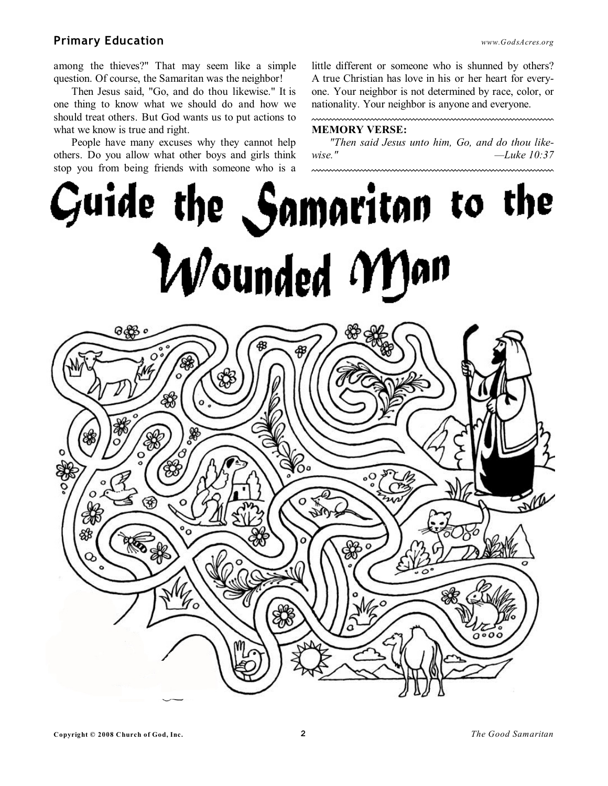### **Primary Education** *www.GodsAcres.org*

among the thieves?" That may seem like a simple question. Of course, the Samaritan was the neighbor!

 Then Jesus said, "Go, and do thou likewise." It is one thing to know what we should do and how we should treat others. But God wants us to put actions to what we know is true and right.

People have many excuses why they cannot help others. Do you allow what other boys and girls think stop you from being friends with someone who is a little different or someone who is shunned by others? A true Christian has love in his or her heart for everyone. Your neighbor is not determined by race, color, or nationality. Your neighbor is anyone and everyone.

#### **MEMORY VERSE:**

*"Then said Jesus unto him, Go, and do thou likewise." —Luke 10:37*

Guide the Samaritan to the Wounded Man å8 矛  $\Omega$ 

 $000$